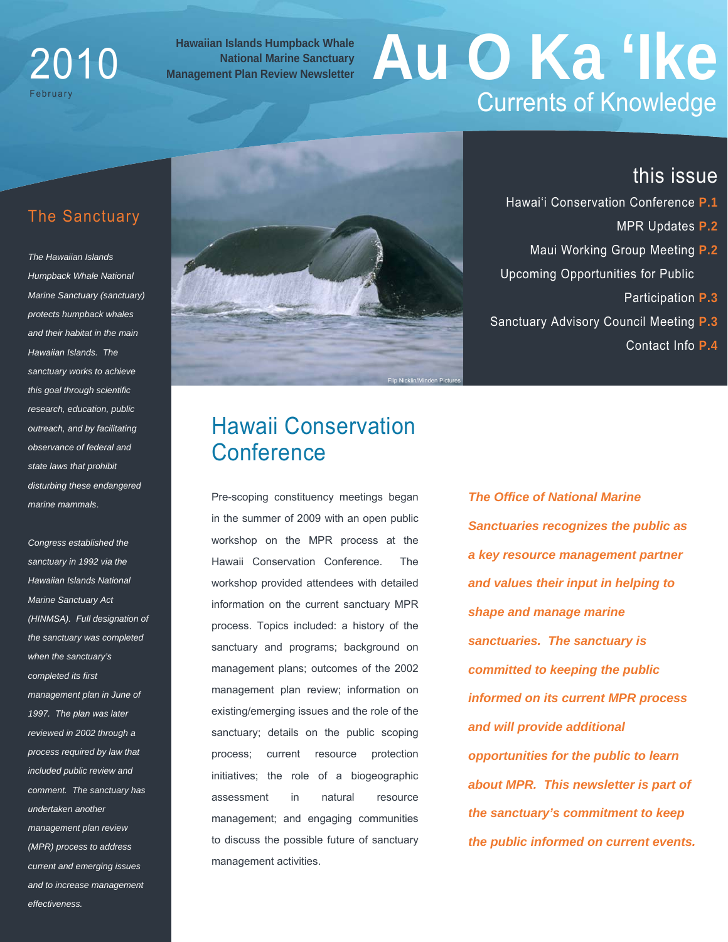## 2010 February

#### **Hawaiian Islands Humpback Whale National Marine Sanctuary**

# **Hawaiian Islands Humpback Whale<br>
Management Plan Review Newsletter<br>
<b>Management Plan Review Newsletter** Currents of Knowledge

#### The Sanctuary

*The Hawaiian Islands Humpback Whale National Marine Sanctuary (sanctuary) protects humpback whales and their habitat in the main Hawaiian Islands. The sanctuary works to achieve this goal through scientific research, education, public outreach, and by facilitating observance of federal and state laws that prohibit disturbing these endangered marine mammals*.

*Congress established the sanctuary in 1992 via the Hawaiian Islands National Marine Sanctuary Act (HINMSA). Full designation of the sanctuary was completed when the sanctuary's completed its first management plan in June of 1997. The plan was later reviewed in 2002 through a process required by law that included public review and comment. The sanctuary has undertaken another management plan review (MPR) process to address current and emerging issues and to increase management effectiveness.* 



#### this issue

- Hawai'i Conservation Conference **P.1**
	- MPR Updates **P.2**
- Maui Working Group Meeting **P.2** Upcoming Opportunities for Public
	- Participation **P.3**
- Sanctuary Advisory Council Meeting **P.3**
	- Contact Info **P.4**

## Hawaii Conservation **Conference**

Pre-scoping constituency meetings began in the summer of 2009 with an open public workshop on the MPR process at the Hawaii Conservation Conference. The workshop provided attendees with detailed information on the current sanctuary MPR process. Topics included: a history of the sanctuary and programs; background on management plans; outcomes of the 2002 management plan review; information on existing/emerging issues and the role of the sanctuary; details on the public scoping process; current resource protection initiatives; the role of a biogeographic assessment in natural resource management; and engaging communities to discuss the possible future of sanctuary management activities.

*The Office of National Marine Sanctuaries recognizes the public as a key resource management partner and values their input in helping to shape and manage marine sanctuaries. The sanctuary is committed to keeping the public informed on its current MPR process and will provide additional opportunities for the public to learn about MPR. This newsletter is part of the sanctuary's commitment to keep the public informed on current events.*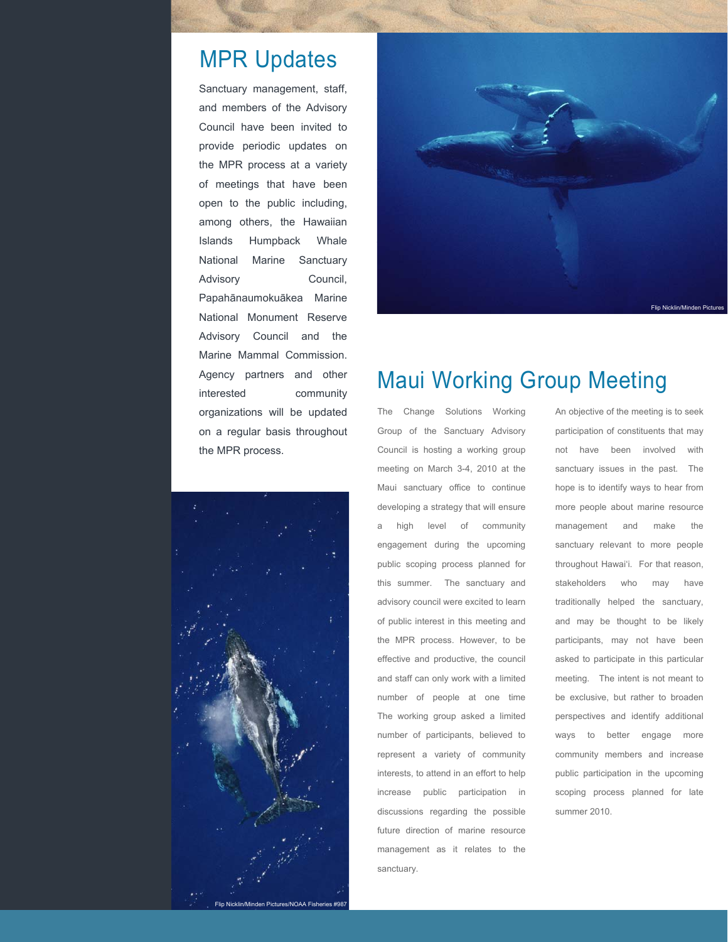## MPR Updates

Sanctuary management, staff, and members of the Advisory Council have been invited to provide periodic updates on the MPR process at a variety of meetings that have been open to the public including, among others, the Hawaiian Islands Humpback Whale National Marine Sanctuary Advisory Council, Papahānaumokuākea Marine National Monument Reserve Advisory Council and the Marine Mammal Commission. Agency partners and other interested community organizations will be updated on a regular basis throughout the MPR process.





## Maui Working Group Meeting

The Change Solutions Working Group of the Sanctuary Advisory Council is hosting a working group meeting on March 3-4, 2010 at the Maui sanctuary office to continue developing a strategy that will ensure a high level of community engagement during the upcoming public scoping process planned for this summer. The sanctuary and advisory council were excited to learn of public interest in this meeting and the MPR process. However, to be effective and productive, the council and staff can only work with a limited number of people at one time The working group asked a limited number of participants, believed to represent a variety of community interests, to attend in an effort to help increase public participation in discussions regarding the possible future direction of marine resource management as it relates to the sanctuary.

An objective of the meeting is to seek participation of constituents that may not have been involved with sanctuary issues in the past. The hope is to identify ways to hear from more people about marine resource management and make the sanctuary relevant to more people throughout Hawai'i. For that reason, stakeholders who may have traditionally helped the sanctuary, and may be thought to be likely participants, may not have been asked to participate in this particular meeting. The intent is not meant to be exclusive, but rather to broaden perspectives and identify additional ways to better engage more community members and increase public participation in the upcoming scoping process planned for late summer 2010.

Flip Nicklin/Minden Pictures/NOAA Fish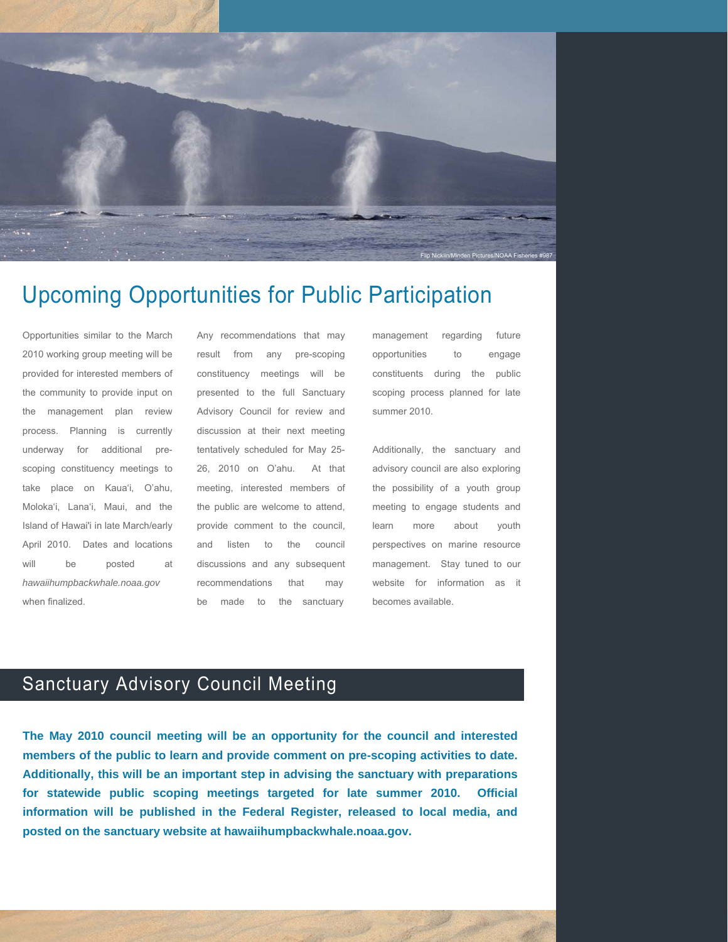

## Upcoming Opportunities for Public Participation

Opportunities similar to the March 2010 working group meeting will be provided for interested members of the community to provide input on the management plan review process. Planning is currently underway for additional prescoping constituency meetings to take place on Kaua'i, O'ahu, Moloka'i, Lana'i, Maui, and the Island of Hawai'i in late March/early April 2010. Dates and locations will be posted at *hawaiihumpbackwhale.noaa.gov* when finalized.

Any recommendations that may result from any pre-scoping constituency meetings will be presented to the full Sanctuary Advisory Council for review and discussion at their next meeting tentatively scheduled for May 25- 26, 2010 on O'ahu. At that meeting, interested members of the public are welcome to attend, provide comment to the council, and listen to the council discussions and any subsequent recommendations that may be made to the sanctuary

management regarding future opportunities to engage constituents during the public scoping process planned for late summer 2010.

Additionally, the sanctuary and advisory council are also exploring the possibility of a youth group meeting to engage students and learn more about youth perspectives on marine resource management. Stay tuned to our website for information as it becomes available.

### Sanctuary Advisory Council Meeting

**The May 2010 council meeting will be an opportunity for the council and interested members of the public to learn and provide comment on pre-scoping activities to date. Additionally, this will be an important step in advising the sanctuary with preparations for statewide public scoping meetings targeted for late summer 2010. Official information will be published in the Federal Register, released to local media, and posted on the sanctuary website at hawaiihumpbackwhale.noaa.gov.**